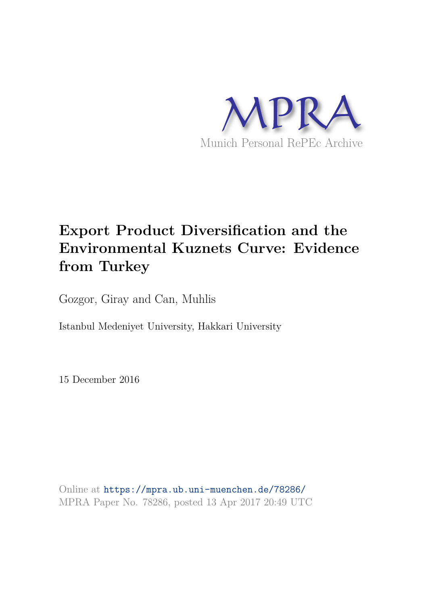

# **Export Product Diversification and the Environmental Kuznets Curve: Evidence from Turkey**

Gozgor, Giray and Can, Muhlis

Istanbul Medeniyet University, Hakkari University

15 December 2016

Online at https://mpra.ub.uni-muenchen.de/78286/ MPRA Paper No. 78286, posted 13 Apr 2017 20:49 UTC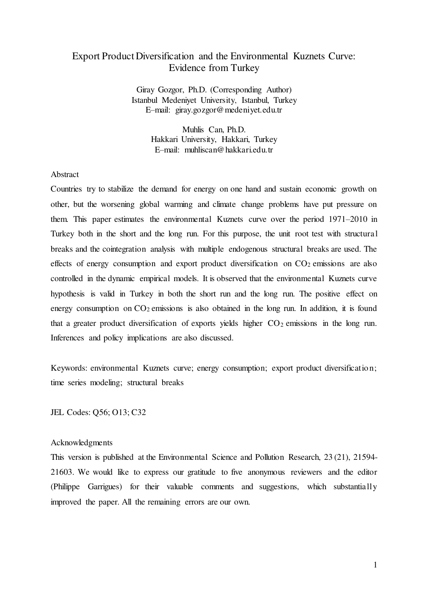# Export Product Diversification and the Environmental Kuznets Curve: Evidence from Turkey

Giray Gozgor, Ph.D. (Corresponding Author) Istanbul Medeniyet University, Istanbul, Turkey E–mail: giray.gozgor@medeniyet.edu.tr

> Muhlis Can, Ph.D. Hakkari University, Hakkari, Turkey E–mail: muhliscan@hakkari.edu.tr

### **Abstract**

Countries try to stabilize the demand for energy on one hand and sustain economic growth on other, but the worsening global warming and climate change problems have put pressure on them. This paper estimates the environmental Kuznets curve over the period 1971–2010 in Turkey both in the short and the long run. For this purpose, the unit root test with structural breaks and the cointegration analysis with multiple endogenous structural breaks are used. The effects of energy consumption and export product diversification on  $CO<sub>2</sub>$  emissions are also controlled in the dynamic empirical models. It is observed that the environmental Kuznets curve hypothesis is valid in Turkey in both the short run and the long run. The positive effect on energy consumption on  $CO<sub>2</sub>$  emissions is also obtained in the long run. In addition, it is found that a greater product diversification of exports yields higher  $CO<sub>2</sub>$  emissions in the long run. Inferences and policy implications are also discussed.

Keywords: environmental Kuznets curve; energy consumption; export product diversification; time series modeling; structural breaks

JEL Codes: Q56; O13; C32

#### Acknowledgments

This version is published at the Environmental Science and Pollution Research, 23 (21), 21594- 21603. We would like to express our gratitude to five anonymous reviewers and the editor (Philippe Garrigues) for their valuable comments and suggestions, which substantially improved the paper. All the remaining errors are our own.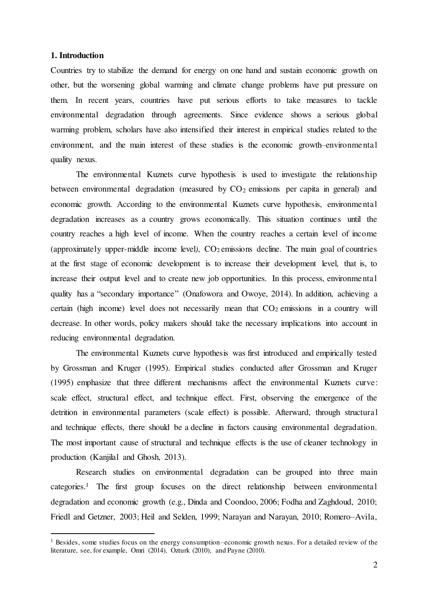#### **1. Introduction**

 $\overline{a}$ 

Countries try to stabilize the demand for energy on one hand and sustain economic growth on other, but the worsening global warming and climate change problems have put pressure on them. In recent years, countries have put serious efforts to take measures to tackle environmental degradation through agreements. Since evidence shows a serious global warming problem, scholars have also intensified their interest in empirical studies related to the environment, and the main interest of these studies is the economic growth–environmental quality nexus.

The environmental Kuznets curve hypothesis is used to investigate the relationship between environmental degradation (measured by  $CO<sub>2</sub>$  emissions per capita in general) and economic growth. According to the environmental Kuznets curve hypothesis, environmental degradation increases as a country grows economically. This situation continues until the country reaches a high level of income. When the country reaches a certain level of income (approximately upper-middle income level),  $CO<sub>2</sub>$  emissions decline. The main goal of countries at the first stage of economic development is to increase their development level, that is, to increase their output level and to create new job opportunities. In this process, environmental quality has a "secondary importance" (Onafowora and Owoye, 2014). In addition, achieving a certain (high income) level does not necessarily mean that  $CO<sub>2</sub>$  emissions in a country will decrease. In other words, policy makers should take the necessary implications into account in reducing environmental degradation.

The environmental Kuznets curve hypothesis was first introduced and empirically tested by Grossman and Kruger (1995). Empirical studies conducted after Grossman and Kruger (1995) emphasize that three different mechanisms affect the environmental Kuznets curve: scale effect, structural effect, and technique effect. First, observing the emergence of the detrition in environmental parameters (scale effect) is possible. Afterward, through structural and technique effects, there should be a decline in factors causing environmental degradation. The most important cause of structural and technique effects is the use of cleaner technology in production (Kanjilal and Ghosh, 2013).

Research studies on environmental degradation can be grouped into three main categories.<sup>1</sup> The first group focuses on the direct relationship between environmental degradation and economic growth (e.g., Dinda and Coondoo, 2006; Fodha and Zaghdoud, 2010; Friedl and Getzner, 2003; Heil and Selden, 1999; Narayan and Narayan, 2010; Romero–Avila,

<sup>&</sup>lt;sup>1</sup> Besides, some studies focus on the energy consumption–economic growth nexus. For a detailed review of the literature, see, for example, Omri (2014), Ozturk (2010), and Payne (2010).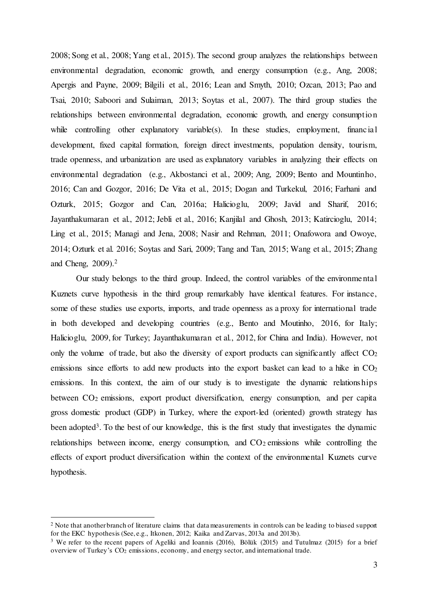2008; Song et al., 2008; Yang et al., 2015). The second group analyzes the relationships between environmental degradation, economic growth, and energy consumption (e.g., Ang, 2008; Apergis and Payne, 2009; Bilgili et al., 2016; Lean and Smyth, 2010; Ozcan, 2013; Pao and Tsai, 2010; Saboori and Sulaiman, 2013; Soytas et al., 2007). The third group studies the relationships between environmental degradation, economic growth, and energy consumption while controlling other explanatory variable(s). In these studies, employment, financial development, fixed capital formation, foreign direct investments, population density, tourism, trade openness, and urbanization are used as explanatory variables in analyzing their effects on environmental degradation (e.g., Akbostanci et al., 2009; Ang, 2009; Bento and Mountinho, 2016; Can and Gozgor, 2016; De Vita et al., 2015; Dogan and Turkekul, 2016; Farhani and Ozturk, 2015; Gozgor and Can, 2016a; Halicioglu, 2009; Javid and Sharif, 2016; Jayanthakumaran et al., 2012; Jebli et al., 2016; Kanjilal and Ghosh, 2013; Katircioglu, 2014; Ling et al., 2015; Managi and Jena, 2008; Nasir and Rehman, 2011; Onafowora and Owoye, 2014; Ozturk et al. 2016; Soytas and Sari, 2009; Tang and Tan, 2015; Wang et al., 2015; Zhang and Cheng, 2009).<sup>2</sup>

Our study belongs to the third group. Indeed, the control variables of the environmental Kuznets curve hypothesis in the third group remarkably have identical features. For instance, some of these studies use exports, imports, and trade openness as a proxy for international trade in both developed and developing countries (e.g., Bento and Moutinho, 2016, for Italy; Halicioglu, 2009, for Turkey; Jayanthakumaran et al., 2012, for China and India). However, not only the volume of trade, but also the diversity of export products can significantly affect  $CO<sub>2</sub>$ emissions since efforts to add new products into the export basket can lead to a hike in  $CO<sub>2</sub>$ emissions. In this context, the aim of our study is to investigate the dynamic relationships between CO<sub>2</sub> emissions, export product diversification, energy consumption, and per capita gross domestic product (GDP) in Turkey, where the export-led (oriented) growth strategy has been adopted<sup>3</sup>. To the best of our knowledge, this is the first study that investigates the dynamic relationships between income, energy consumption, and  $CO<sub>2</sub>$  emissions while controlling the effects of export product diversification within the context of the environmental Kuznets curve hypothesis.

 $\overline{a}$ 

<sup>&</sup>lt;sup>2</sup> Note that another branch of literature claims that data measurements in controls can be leading to biased support for the EKC hypothesis (See, e.g., Itkonen, 2012; Kaika and Zarvas, 2013a and 2013b).

<sup>&</sup>lt;sup>3</sup> We refer to the recent papers of Ageliki and Ioannis (2016), Bölük (2015) and Tutulmaz (2015) for a brief overview of Turkey's CO2 emissions, economy, and energy sector, and international trade.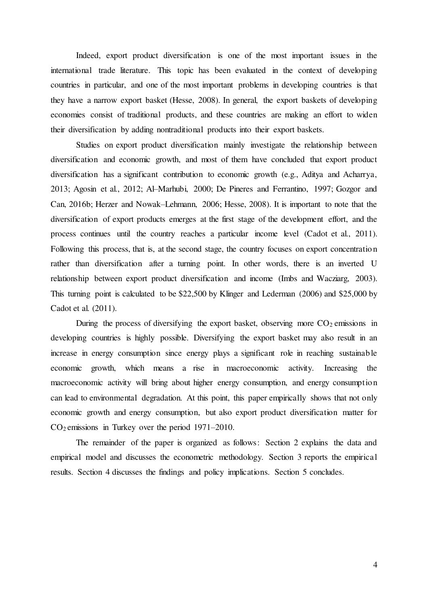Indeed, export product diversification is one of the most important issues in the international trade literature. This topic has been evaluated in the context of developing countries in particular, and one of the most important problems in developing countries is that they have a narrow export basket (Hesse, 2008). In general, the export baskets of developing economies consist of traditional products, and these countries are making an effort to widen their diversification by adding nontraditional products into their export baskets.

Studies on export product diversification mainly investigate the relationship between diversification and economic growth, and most of them have concluded that export product diversification has a significant contribution to economic growth (e.g., Aditya and Acharrya, 2013; Agosin et al., 2012; Al–Marhubi, 2000; De Pineres and Ferrantino, 1997; Gozgor and Can, 2016b; Herzer and Nowak–Lehmann, 2006; Hesse, 2008). It is important to note that the diversification of export products emerges at the first stage of the development effort, and the process continues until the country reaches a particular income level (Cadot et al., 2011). Following this process, that is, at the second stage, the country focuses on export concentration rather than diversification after a turning point. In other words, there is an inverted U relationship between export product diversification and income (Imbs and Wacziarg, 2003). This turning point is calculated to be \$22,500 by Klinger and Lederman (2006) and \$25,000 by Cadot et al. (2011).

During the process of diversifying the export basket, observing more  $CO<sub>2</sub>$  emissions in developing countries is highly possible. Diversifying the export basket may also result in an increase in energy consumption since energy plays a significant role in reaching sustainable economic growth, which means a rise in macroeconomic activity. Increasing the macroeconomic activity will bring about higher energy consumption, and energy consumption can lead to environmental degradation. At this point, this paper empirically shows that not only economic growth and energy consumption, but also export product diversification matter for CO2 emissions in Turkey over the period 1971–2010.

The remainder of the paper is organized as follows: Section 2 explains the data and empirical model and discusses the econometric methodology. Section 3 reports the empirical results. Section 4 discusses the findings and policy implications. Section 5 concludes.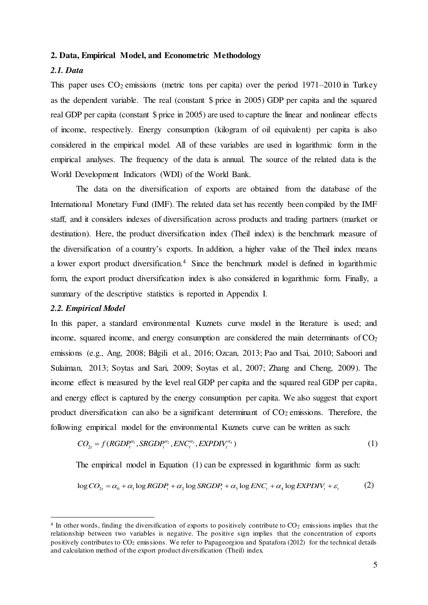#### **2. Data, Empirical Model, and Econometric Methodology**

## *2.1. Data*

This paper uses  $CO_2$  emissions (metric tons per capita) over the period 1971–2010 in Turkey as the dependent variable. The real (constant \$ price in 2005) GDP per capita and the squared real GDP per capita (constant \$ price in 2005) are used to capture the linear and nonlinear effects of income, respectively. Energy consumption (kilogram of oil equivalent) per capita is also considered in the empirical model. All of these variables are used in logarithmic form in the empirical analyses. The frequency of the data is annual. The source of the related data is the World Development Indicators (WDI) of the World Bank.

The data on the diversification of exports are obtained from the database of the International Monetary Fund (IMF). The related data set has recently been compiled by the IMF staff, and it considers indexes of diversification across products and trading partners (market or destination). Here, the product diversification index (Theil index) is the benchmark measure of the diversification of a country's exports. In addition, a higher value of the Theil index means a lower export product diversification.<sup>4</sup> Since the benchmark model is defined in logarithmic form, the export product diversification index is also considered in logarithmic form. Finally, a summary of the descriptive statistics is reported in Appendix I.

# *2.2. Empirical Model*

 $\overline{a}$ 

In this paper, a standard environmental Kuznets curve model in the literature is used; and income, squared income, and energy consumption are considered the main determinants of  $CO<sub>2</sub>$ emissions (e.g., Ang, 2008; Bilgili et al., 2016; Ozcan, 2013; Pao and Tsai, 2010; Saboori and Sulaiman, 2013; Soytas and Sari, 2009; Soytas et al., 2007; Zhang and Cheng, 2009). The income effect is measured by the level real GDP per capita and the squared real GDP per capita, and energy effect is captured by the energy consumption per capita. We also suggest that export product diversification can also be a significant determinant of  $CO<sub>2</sub>$  emissions. Therefore, the following empirical model for the environmental Kuznets curve can be written as such:

$$
CO_{2t} = f(RGDP_t^{\alpha_1}, SRGDP_t^{\alpha_2}, ENC_t^{\alpha_3}, EXPDIV_t^{\alpha_4})
$$
\n
$$
\tag{1}
$$

The empirical model in Equation (1) can be expressed in logarithmic form as such:

$$
\log CO_{2t} = \alpha_0 + \alpha_1 \log RGBP_t + \alpha_2 \log SRGDP_t + \alpha_3 \log ENC_t + \alpha_4 \log EXPDIV_t + \varepsilon_t
$$
 (2)

 $4$  In other words, finding the diversification of exports to positively contribute to  $CO<sub>2</sub>$  emissions implies that the relationship between two variables is negative. The positive sign implies that the concentration of exports positively contributes to CO2 emissions. We refer to Papageorgiou and Spatafora (2012) for the technical details and calculation method of the export product diversification (Theil) index.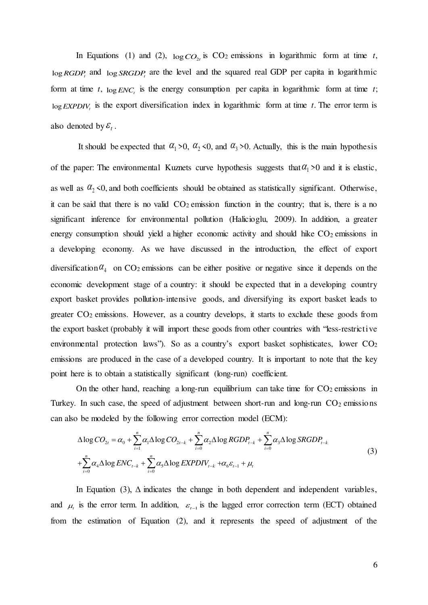In Equations (1) and (2),  $\log CO_2$  is  $CO_2$  emissions in logarithmic form at time *t*, log *RGDP*<sup>*t*</sup> and log *SRGDP*<sup>*t*</sup> are the level and the squared real GDP per capita in logarithmic form at time *t*,  $\log ENC_t$  is the energy consumption per capita in logarithmic form at time *t*;  $log$ *EXPDIV<sub>t</sub>* is the export diversification index in logarithmic form at time *t*. The error term is also denoted by  $\mathcal{E}_t$ .

It should be expected that  $\alpha_1 > 0$ ,  $\alpha_2 < 0$ , and  $\alpha_3 > 0$ . Actually, this is the main hypothesis of the paper: The environmental Kuznets curve hypothesis suggests that  $\alpha_1 > 0$  and it is elastic, as well as  $\alpha_2 \le 0$ , and both coefficients should be obtained as statistically significant. Otherwise, it can be said that there is no valid  $CO<sub>2</sub>$  emission function in the country; that is, there is a no significant inference for environmental pollution (Halicioglu, 2009). In addition, a greater energy consumption should yield a higher economic activity and should hike  $CO<sub>2</sub>$  emissions in a developing economy. As we have discussed in the introduction, the effect of export diversification  $\alpha_4$  on CO<sub>2</sub> emissions can be either positive or negative since it depends on the economic development stage of a country: it should be expected that in a developing country export basket provides pollution-intensive goods, and diversifying its export basket leads to greater  $CO<sub>2</sub>$  emissions. However, as a country develops, it starts to exclude these goods from the export basket (probably it will import these goods from other countries with "less-restrictive environmental protection laws"). So as a country's export basket sophisticates, lower CO<sub>2</sub> emissions are produced in the case of a developed country. It is important to note that the key point here is to obtain a statistically significant (long-run) coefficient.

On the other hand, reaching a long-run equilibrium can take time for  $CO<sub>2</sub>$  emissions in Turkey. In such case, the speed of adjustment between short-run and long-run  $CO<sub>2</sub>$  emissions can also be modeled by the following error correction model (ECM):

$$
\Delta \log CO_{2t} = \alpha_0 + \sum_{i=1}^n \alpha_i \Delta \log CO_{2t-k} + \sum_{i=0}^n \alpha_2 \Delta \log RGBP_{t-k} + \sum_{i=0}^n \alpha_3 \Delta \log SRGDP_{t-k} + \sum_{i=0}^n \alpha_4 \Delta \log ENC_{t-k} + \sum_{i=0}^n \alpha_5 \Delta \log EXPDIV_{t-k} + \alpha_6 \varepsilon_{t-1} + \mu_t
$$
\n(3)

In Equation (3),  $\Delta$  indicates the change in both dependent and independent variables, and  $\mu$  is the error term. In addition,  $\varepsilon$ <sub>1-1</sub> is the lagged error correction term (ECT) obtained from the estimation of Equation (2), and it represents the speed of adjustment of the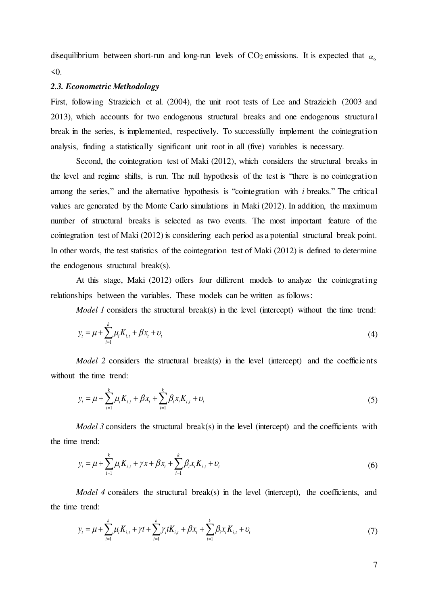disequilibrium between short-run and long-run levels of  $CO_2$  emissions. It is expected that  $\alpha_{\epsilon}$  $<0$ .

#### *2.3. Econometric Methodology*

First, following Strazicich et al. (2004), the unit root tests of Lee and Strazicich (2003 and 2013), which accounts for two endogenous structural breaks and one endogenous structural break in the series, is implemented, respectively. To successfully implement the cointegration analysis, finding a statistically significant unit root in all (five) variables is necessary.

Second, the cointegration test of Maki (2012), which considers the structural breaks in the level and regime shifts, is run. The null hypothesis of the test is "there is no cointegration among the series," and the alternative hypothesis is "cointegration with *i* breaks." The critical values are generated by the Monte Carlo simulations in Maki (2012). In addition, the maximum number of structural breaks is selected as two events. The most important feature of the cointegration test of Maki (2012) is considering each period as a potential structural break point. In other words, the test statistics of the cointegration test of Maki (2012) is defined to determine the endogenous structural break(s).

At this stage, Maki (2012) offers four different models to analyze the cointegrating relationships between the variables. These models can be written as follows:

*Model 1* considers the structural break(s) in the level (intercept) without the time trend:

$$
y_t = \mu + \sum_{i=1}^k \mu_i K_{i,t} + \beta x_t + v_t
$$
\n(4)

*Model 2* considers the structural break(s) in the level (intercept) and the coefficients without the time trend:

$$
y_t = \mu + \sum_{i=1}^k \mu_i K_{i,t} + \beta x_t + \sum_{i=1}^k \beta_i x_i K_{i,t} + \nu_t
$$
\n(5)

*Model 3* considers the structural break(s) in the level (intercept) and the coefficients with the time trend:

$$
y_t = \mu + \sum_{i=1}^k \mu_i K_{i,t} + \gamma x + \beta x_t + \sum_{i=1}^k \beta_i x_i K_{i,t} + \nu_t
$$
 (6)

*Model 4* considers the structural break(s) in the level (intercept), the coefficients, and the time trend:

$$
y_{t} = \mu + \sum_{i=1}^{k} \mu_{i} K_{i,t} + \gamma t + \sum_{i=1}^{k} \gamma_{i} t K_{i,t} + \beta x_{t} + \sum_{i=1}^{k} \beta_{i} x_{i} K_{i,t} + v_{t}
$$
(7)

7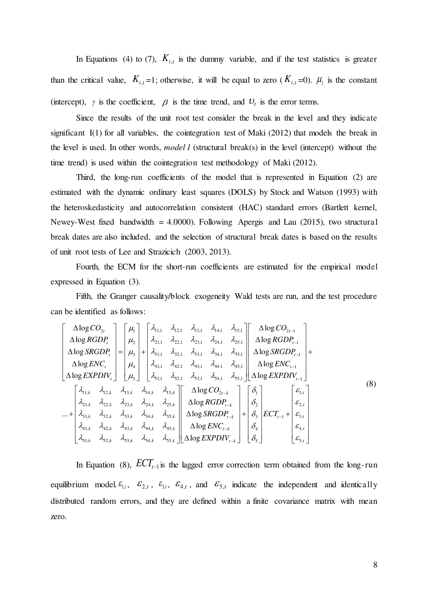In Equations (4) to (7),  $K_{i,t}$  is the dummy variable, and if the test statistics is greater than the critical value,  $K_{i,t} = 1$ ; otherwise, it will be equal to zero  $(K_{i,t} = 0)$ .  $\mu_i$  is the constant (intercept),  $\gamma$  is the coefficient,  $\beta$  is the time trend, and  $U_t$  is the error terms.

Since the results of the unit root test consider the break in the level and they indicate significant  $I(1)$  for all variables, the cointegration test of Maki (2012) that models the break in the level is used. In other words, *model 1* (structural break(s) in the level (intercept) without the time trend) is used within the cointegration test methodology of Maki (2012).

Third, the long-run coefficients of the model that is represented in Equation (2) are estimated with the dynamic ordinary least squares (DOLS) by Stock and Watson (1993) with the heteroskedasticity and autocorrelation consistent (HAC) standard errors (Bartlett kernel, Newey-West fixed bandwidth  $= 4.0000$ . Following Apergis and Lau (2015), two structural break dates are also included, and the selection of structural break dates is based on the results of unit root tests of Lee and Strazicich (2003, 2013).

Fourth, the ECM for the short-run coefficients are estimated for the empirical model expressed in Equation (3).

Fifth, the Granger causality/block exogeneity Wald tests are run, and the test procedure can be identified as follows:

$$
\begin{bmatrix}\n\Delta \log CO_{2t} \\
\Delta \log RGDP_{t} \\
\Delta \log SRGDP_{t} \\
\Delta \log SRGDP_{t} \\
\Delta \log EXPOL_{t}\n\end{bmatrix} =\n\begin{bmatrix}\n\mu_{1} \\
\mu_{2} \\
\mu_{3} \\
\mu_{4} \\
\mu_{5}\n\end{bmatrix} +\n\begin{bmatrix}\n\lambda_{1,11} & \lambda_{1,21} & \lambda_{1,31} & \lambda_{1,41} & \lambda_{1,51} \\
\lambda_{2,11} & \lambda_{2,21} & \lambda_{2,31} & \lambda_{2,41} & \lambda_{2,51} \\
\lambda_{3,11} & \lambda_{3,21} & \lambda_{3,31} & \lambda_{3,41} & \lambda_{3,51} \\
\lambda_{4,11} & \lambda_{4,21} & \lambda_{4,31} & \lambda_{4,41} & \lambda_{4,51} \\
\lambda_{5,11} & \lambda_{5,21} & \lambda_{5,31} & \lambda_{5,41} & \lambda_{5,51}\n\end{bmatrix}\n\begin{bmatrix}\n\Delta \log RCDP_{t-1} \\
\Delta \log SRGDP_{t-1} \\
\Delta \log EXPDIV_{t-1}\n\end{bmatrix} +\n\begin{bmatrix}\n\lambda_{1,1k} & \lambda_{1,1l} & \lambda_{1,2l} & \lambda_{1,3l} & \lambda_{1,3l} & \lambda_{1,4l} & \lambda_{1,5l} \\
\lambda_{2,1k} & \lambda_{2,2k} & \lambda_{2,3k} & \lambda_{2,4k} & \lambda_{2,5k} \\
\lambda_{2,1k} & \lambda_{2,2k} & \lambda_{2,3k} & \lambda_{2,4k} & \lambda_{2,5k} \\
\lambda_{3,1k} & \lambda_{3,2k} & \lambda_{3,3k} & \lambda_{3,4k} & \lambda_{3,5k} \\
\lambda_{4,1k} & \lambda_{4,2,k} & \lambda_{4,3,k} & \lambda_{4,4,k} & \lambda_{4,5,k} \\
\lambda_{5,1k} & \lambda_{5,2,k} & \lambda_{5,3,k} & \lambda_{5,4k} & \lambda_{5,5,k}\n\end{bmatrix}\n\begin{bmatrix}\n\Delta \log RCDP_{t-1} \\
\Delta \log RGDP_{t-1} \\
\Delta \log SRGDP_{t-1} \\
\Delta \
$$

In Equation (8),  $\mathbf{E}CT_{t-1}$  is the lagged error correction term obtained from the long-run equilibrium model.  $\mathcal{E}_{1,t}$ ,  $\mathcal{E}_{2,t}$ ,  $\mathcal{E}_{3,t}$ ,  $\mathcal{E}_{4,t}$ , and  $\mathcal{E}_{5,t}$  indicate the independent and identically distributed random errors, and they are defined within a finite covariance matrix with mean zero.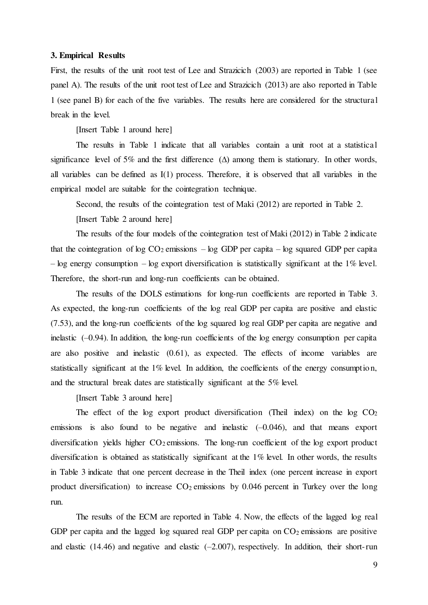#### **3. Empirical Results**

First, the results of the unit root test of Lee and Strazicich (2003) are reported in Table 1 (see panel A). The results of the unit root test of Lee and Strazicich (2013) are also reported in Table 1 (see panel B) for each of the five variables. The results here are considered for the structural break in the level.

[Insert Table 1 around here]

The results in Table 1 indicate that all variables contain a unit root at a statistical significance level of 5% and the first difference  $(\Delta)$  among them is stationary. In other words, all variables can be defined as I(1) process. Therefore, it is observed that all variables in the empirical model are suitable for the cointegration technique.

Second, the results of the cointegration test of Maki (2012) are reported in Table 2.

[Insert Table 2 around here]

The results of the four models of the cointegration test of Maki (2012) in Table 2 indicate that the cointegration of log  $CO_2$  emissions – log GDP per capita – log squared GDP per capita  $-\log$  energy consumption  $-\log$  export diversification is statistically significant at the 1% level. Therefore, the short-run and long-run coefficients can be obtained.

The results of the DOLS estimations for long-run coefficients are reported in Table 3. As expected, the long-run coefficients of the log real GDP per capita are positive and elastic (7.53), and the long-run coefficients of the log squared log real GDP per capita are negative and inelastic (–0.94). In addition, the long-run coefficients of the log energy consumption per capita are also positive and inelastic (0.61), as expected. The effects of income variables are statistically significant at the 1% level. In addition, the coefficients of the energy consumption, and the structural break dates are statistically significant at the 5% level.

[Insert Table 3 around here]

The effect of the log export product diversification (Theil index) on the log  $CO<sub>2</sub>$ emissions is also found to be negative and inelastic  $(-0.046)$ , and that means export diversification yields higher  $CO<sub>2</sub>$  emissions. The long-run coefficient of the log export product diversification is obtained as statistically significant at the 1% level. In other words, the results in Table 3 indicate that one percent decrease in the Theil index (one percent increase in export product diversification) to increase  $CO<sub>2</sub>$  emissions by 0.046 percent in Turkey over the long run.

The results of the ECM are reported in Table 4. Now, the effects of the lagged log real GDP per capita and the lagged log squared real GDP per capita on  $CO<sub>2</sub>$  emissions are positive and elastic  $(14.46)$  and negative and elastic  $(-2.007)$ , respectively. In addition, their short-run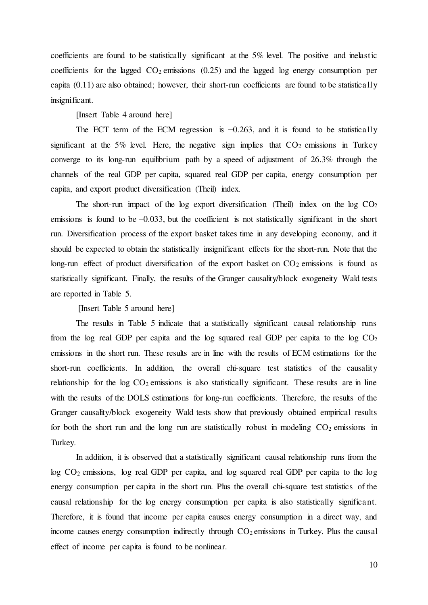coefficients are found to be statistically significant at the 5% level. The positive and inelastic coefficients for the lagged  $CO<sub>2</sub>$  emissions (0.25) and the lagged log energy consumption per capita (0.11) are also obtained; however, their short-run coefficients are found to be statistically insignificant.

[Insert Table 4 around here]

The ECT term of the ECM regression is  $-0.263$ , and it is found to be statistically significant at the 5% level. Here, the negative sign implies that  $CO<sub>2</sub>$  emissions in Turkey converge to its long-run equilibrium path by a speed of adjustment of 26.3% through the channels of the real GDP per capita, squared real GDP per capita, energy consumption per capita, and export product diversification (Theil) index.

The short-run impact of the log export diversification (Theil) index on the log  $CO<sub>2</sub>$ emissions is found to be  $-0.033$ , but the coefficient is not statistically significant in the short run. Diversification process of the export basket takes time in any developing economy, and it should be expected to obtain the statistically insignificant effects for the short-run. Note that the long-run effect of product diversification of the export basket on  $CO<sub>2</sub>$  emissions is found as statistically significant. Finally, the results of the Granger causality/block exogeneity Wald tests are reported in Table 5.

[Insert Table 5 around here]

The results in Table 5 indicate that a statistically significant causal relationship runs from the log real GDP per capita and the log squared real GDP per capita to the log  $CO<sub>2</sub>$ emissions in the short run. These results are in line with the results of ECM estimations for the short-run coefficients. In addition, the overall chi-square test statistics of the causality relationship for the  $log CO<sub>2</sub>$  emissions is also statistically significant. These results are in line with the results of the DOLS estimations for long-run coefficients. Therefore, the results of the Granger causality/block exogeneity Wald tests show that previously obtained empirical results for both the short run and the long run are statistically robust in modeling  $CO<sub>2</sub>$  emissions in Turkey.

In addition, it is observed that a statistically significant causal relationship runs from the log CO2 emissions, log real GDP per capita, and log squared real GDP per capita to the log energy consumption per capita in the short run. Plus the overall chi-square test statistics of the causal relationship for the log energy consumption per capita is also statistically significant. Therefore, it is found that income per capita causes energy consumption in a direct way, and income causes energy consumption indirectly through  $CO<sub>2</sub>$  emissions in Turkey. Plus the causal effect of income per capita is found to be nonlinear.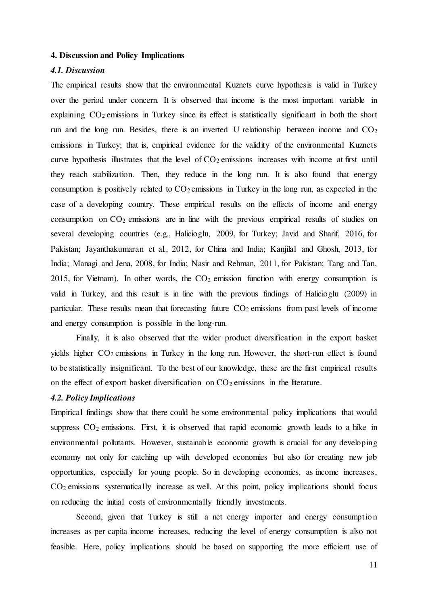#### **4. Discussion and Policy Implications**

# *4.1. Discussion*

The empirical results show that the environmental Kuznets curve hypothesis is valid in Turkey over the period under concern. It is observed that income is the most important variable in explaining CO2 emissions in Turkey since its effect is statistically significant in both the short run and the long run. Besides, there is an inverted U relationship between income and  $CO<sub>2</sub>$ emissions in Turkey; that is, empirical evidence for the validity of the environmental Kuznets curve hypothesis illustrates that the level of  $CO<sub>2</sub>$  emissions increases with income at first until they reach stabilization. Then, they reduce in the long run. It is also found that energy consumption is positively related to  $CO_2$  emissions in Turkey in the long run, as expected in the case of a developing country. These empirical results on the effects of income and energy consumption on  $CO<sub>2</sub>$  emissions are in line with the previous empirical results of studies on several developing countries (e.g., Halicioglu, 2009, for Turkey; Javid and Sharif, 2016, for Pakistan; Jayanthakumaran et al., 2012, for China and India; Kanjilal and Ghosh, 2013, for India; Managi and Jena, 2008, for India; Nasir and Rehman, 2011, for Pakistan; Tang and Tan, 2015, for Vietnam). In other words, the  $CO<sub>2</sub>$  emission function with energy consumption is valid in Turkey, and this result is in line with the previous findings of Halicioglu (2009) in particular. These results mean that forecasting future  $CO<sub>2</sub>$  emissions from past levels of income and energy consumption is possible in the long-run.

Finally, it is also observed that the wider product diversification in the export basket yields higher CO<sub>2</sub> emissions in Turkey in the long run. However, the short-run effect is found to be statistically insignificant. To the best of our knowledge, these are the first empirical results on the effect of export basket diversification on  $CO<sub>2</sub>$  emissions in the literature.

#### *4.2. Policy Implications*

Empirical findings show that there could be some environmental policy implications that would suppress  $CO<sub>2</sub>$  emissions. First, it is observed that rapid economic growth leads to a hike in environmental pollutants. However, sustainable economic growth is crucial for any developing economy not only for catching up with developed economies but also for creating new job opportunities, especially for young people. So in developing economies, as income increases, CO2 emissions systematically increase as well. At this point, policy implications should focus on reducing the initial costs of environmentally friendly investments.

Second, given that Turkey is still a net energy importer and energy consumption increases as per capita income increases, reducing the level of energy consumption is also not feasible. Here, policy implications should be based on supporting the more efficient use of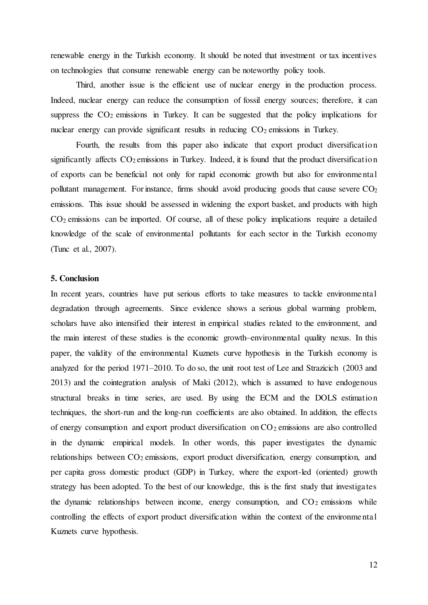renewable energy in the Turkish economy. It should be noted that investment or tax incentives on technologies that consume renewable energy can be noteworthy policy tools.

Third, another issue is the efficient use of nuclear energy in the production process. Indeed, nuclear energy can reduce the consumption of fossil energy sources; therefore, it can suppress the  $CO<sub>2</sub>$  emissions in Turkey. It can be suggested that the policy implications for nuclear energy can provide significant results in reducing  $CO<sub>2</sub>$  emissions in Turkey.

Fourth, the results from this paper also indicate that export product diversification significantly affects  $CO_2$  emissions in Turkey. Indeed, it is found that the product diversification of exports can be beneficial not only for rapid economic growth but also for environmental pollutant management. For instance, firms should avoid producing goods that cause severe  $CO<sub>2</sub>$ emissions. This issue should be assessed in widening the export basket, and products with high  $CO<sub>2</sub>$  emissions can be imported. Of course, all of these policy implications require a detailed knowledge of the scale of environmental pollutants for each sector in the Turkish economy (Tunc et al., 2007).

### **5. Conclusion**

In recent years, countries have put serious efforts to take measures to tackle environmental degradation through agreements. Since evidence shows a serious global warming problem, scholars have also intensified their interest in empirical studies related to the environment, and the main interest of these studies is the economic growth–environmental quality nexus. In this paper, the validity of the environmental Kuznets curve hypothesis in the Turkish economy is analyzed for the period 1971–2010. To do so, the unit root test of Lee and Strazicich (2003 and 2013) and the cointegration analysis of Maki (2012), which is assumed to have endogenous structural breaks in time series, are used. By using the ECM and the DOLS estimation techniques, the short-run and the long-run coefficients are also obtained. In addition, the effects of energy consumption and export product diversification on  $CO<sub>2</sub>$  emissions are also controlled in the dynamic empirical models. In other words, this paper investigates the dynamic relationships between CO<sub>2</sub> emissions, export product diversification, energy consumption, and per capita gross domestic product (GDP) in Turkey, where the export-led (oriented) growth strategy has been adopted. To the best of our knowledge, this is the first study that investigates the dynamic relationships between income, energy consumption, and  $CO<sub>2</sub>$  emissions while controlling the effects of export product diversification within the context of the environmental Kuznets curve hypothesis.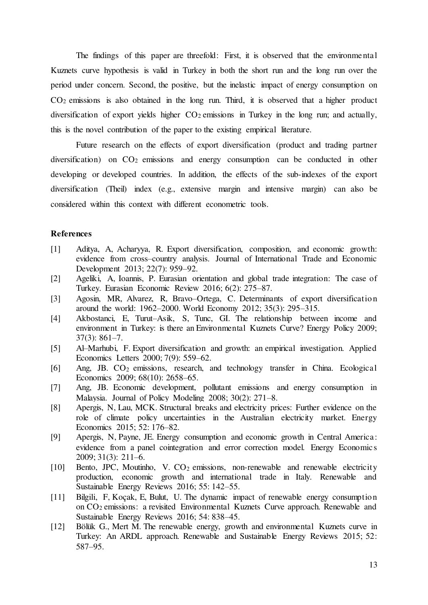The findings of this paper are threefold: First, it is observed that the environmental Kuznets curve hypothesis is valid in Turkey in both the short run and the long run over the period under concern. Second, the positive, but the inelastic impact of energy consumption on CO2 emissions is also obtained in the long run. Third, it is observed that a higher product diversification of export yields higher  $CO<sub>2</sub>$  emissions in Turkey in the long run; and actually, this is the novel contribution of the paper to the existing empirical literature.

Future research on the effects of export diversification (product and trading partner diversification) on  $CO<sub>2</sub>$  emissions and energy consumption can be conducted in other developing or developed countries. In addition, the effects of the sub-indexes of the export diversification (Theil) index (e.g., extensive margin and intensive margin) can also be considered within this context with different econometric tools.

# **References**

- [1] Aditya, A, Acharyya, R. Export diversification, composition, and economic growth: evidence from cross–country analysis. Journal of International Trade and Economic Development 2013; 22(7): 959–92.
- [2] Ageliki, A, Ioannis, P. Eurasian orientation and global trade integration: The case of Turkey. Eurasian Economic Review 2016; 6(2): 275–87.
- [3] Agosin, MR, Alvarez, R, Bravo–Ortega, C. Determinants of export diversification around the world: 1962–2000. World Economy 2012; 35(3): 295–315.
- [4] Akbostanci, E, Turut–Asik, S, Tunc, GI. The relationship between income and environment in Turkey: is there an Environmental Kuznets Curve? Energy Policy 2009; 37(3): 861–7.
- [5] Al–Marhubi, F. Export diversification and growth: an empirical investigation. Applied Economics Letters 2000; 7(9): 559–62.
- [6] Ang, JB. CO2 emissions, research, and technology transfer in China. Ecological Economics 2009; 68(10): 2658–65.
- [7] Ang, JB. Economic development, pollutant emissions and energy consumption in Malaysia. Journal of Policy Modeling 2008; 30(2): 271–8.
- [8] Apergis, N, Lau, MCK. Structural breaks and electricity prices: Further evidence on the role of climate policy uncertainties in the Australian electricity market. Energy Economics 2015; 52: 176–82.
- [9] Apergis, N, Payne, JE. Energy consumption and economic growth in Central America: evidence from a panel cointegration and error correction model. Energy Economics 2009; 31(3): 211–6.
- [10] Bento, JPC, Moutinho, V. CO<sub>2</sub> emissions, non-renewable and renewable electricity production, economic growth and international trade in Italy. Renewable and Sustainable Energy Reviews 2016; 55: 142–55.
- [11] Bilgili, F, Koçak, E, Bulut, U. The dynamic impact of renewable energy consumption on CO2 emissions: a revisited Environmental Kuznets Curve approach. Renewable and Sustainable Energy Reviews 2016; 54: 838–45.
- [12] Bölük G., Mert M. The renewable energy, growth and environmental Kuznets curve in Turkey: An ARDL approach. Renewable and Sustainable Energy Reviews 2015; 52: 587–95.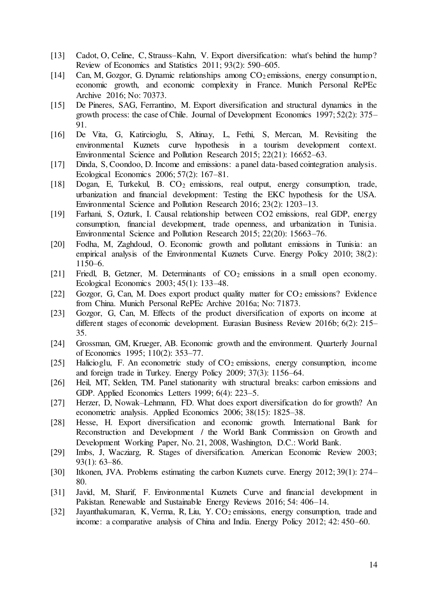- [13] Cadot, O, Celine, C, Strauss–Kahn, V. Export diversification: what's behind the hump? Review of Economics and Statistics 2011; 93(2): 590–605.
- [14] Can, M, Gozgor, G. Dynamic relationships among CO<sub>2</sub> emissions, energy consumption, economic growth, and economic complexity in France. Munich Personal RePEc Archive 2016; No: 70373.
- [15] De Pineres, SAG, Ferrantino, M. Export diversification and structural dynamics in the growth process: the case of Chile. Journal of Development Economics 1997; 52(2): 375– 91.
- [16] De Vita, G, Katircioglu, S, Altinay, L, Fethi, S, Mercan, M. Revisiting the environmental Kuznets curve hypothesis in a tourism development context. Environmental Science and Pollution Research 2015; 22(21): 16652–63.
- [17] Dinda, S, Coondoo, D. Income and emissions: a panel data-based cointegration analysis. Ecological Economics 2006; 57(2): 167–81.
- [18] Dogan, E, Turkekul, B. CO2 emissions, real output, energy consumption, trade, urbanization and financial development: Testing the EKC hypothesis for the USA. Environmental Science and Pollution Research 2016; 23(2): 1203–13.
- [19] Farhani, S, Ozturk, I. Causal relationship between CO2 emissions, real GDP, energy consumption, financial development, trade openness, and urbanization in Tunisia. Environmental Science and Pollution Research 2015; 22(20): 15663–76.
- [20] Fodha, M, Zaghdoud, O. Economic growth and pollutant emissions in Tunisia: an empirical analysis of the Environmental Kuznets Curve. Energy Policy 2010; 38(2): 1150–6.
- [21] Friedl, B, Getzner, M. Determinants of CO<sub>2</sub> emissions in a small open economy. Ecological Economics 2003; 45(1): 133–48.
- [22] Gozgor, G, Can, M. Does export product quality matter for  $CO<sub>2</sub>$  emissions? Evidence from China. Munich Personal RePEc Archive 2016a; No: 71873.
- [23] Gozgor, G, Can, M. Effects of the product diversification of exports on income at different stages of economic development. Eurasian Business Review 2016b; 6(2): 215– 35.
- [24] Grossman, GM, Krueger, AB. Economic growth and the environment. Quarterly Journal of Economics 1995; 110(2): 353–77.
- [25] Halicioglu, F. An econometric study of CO<sub>2</sub> emissions, energy consumption, income and foreign trade in Turkey. Energy Policy 2009; 37(3): 1156–64.
- [26] Heil, MT, Selden, TM. Panel stationarity with structural breaks: carbon emissions and GDP. Applied Economics Letters 1999; 6(4): 223–5.
- [27] Herzer, D, Nowak–Lehmann, FD. What does export diversification do for growth? An econometric analysis. Applied Economics 2006; 38(15): 1825–38.
- [28] Hesse, H. Export diversification and economic growth. International Bank for Reconstruction and Development / the World Bank Commission on Growth and Development Working Paper, No. 21, 2008, Washington, D.C.: World Bank.
- [29] Imbs, J, Wacziarg, R. Stages of diversification. American Economic Review 2003; 93(1): 63–86.
- [30] Itkonen, JVA. Problems estimating the carbon Kuznets curve. Energy 2012; 39(1): 274– 80.
- [31] Javid, M, Sharif, F. Environmental Kuznets Curve and financial development in Pakistan. Renewable and Sustainable Energy Reviews 2016; 54: 406–14.
- [32] Jayanthakumaran, K, Verma, R, Liu, Y. CO<sub>2</sub> emissions, energy consumption, trade and income: a comparative analysis of China and India. Energy Policy 2012; 42: 450–60.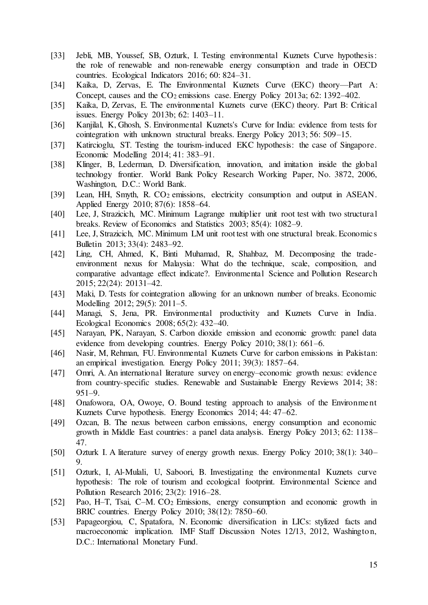- [33] Jebli, MB, Youssef, SB, Ozturk, I. Testing environmental Kuznets Curve hypothesis: the role of renewable and non-renewable energy consumption and trade in OECD countries. Ecological Indicators 2016; 60: 824–31.
- [34] Kaika, D, Zervas, E. The Environmental Kuznets Curve (EKC) theory—Part A: Concept, causes and the CO<sub>2</sub> emissions case. Energy Policy 2013a; 62: 1392–402.
- [35] Kaika, D, Zervas, E. The environmental Kuznets curve (EKC) theory. Part B: Critical issues. Energy Policy 2013b; 62: 1403–11.
- [36] Kanjilal, K, Ghosh, S. Environmental Kuznets's Curve for India: evidence from tests for cointegration with unknown structural breaks. Energy Policy 2013; 56: 509–15.
- [37] Katircioglu, ST. Testing the tourism-induced EKC hypothesis: the case of Singapore. Economic Modelling 2014; 41: 383–91.
- [38] Klinger, B, Lederman, D. Diversification, innovation, and imitation inside the global technology frontier. World Bank Policy Research Working Paper, No. 3872, 2006, Washington, D.C.: World Bank.
- [39] Lean, HH, Smyth, R. CO<sub>2</sub> emissions, electricity consumption and output in ASEAN. Applied Energy 2010; 87(6): 1858–64.
- [40] Lee, J, Strazicich, MC. Minimum Lagrange multiplier unit root test with two structural breaks. Review of Economics and Statistics 2003; 85(4): 1082–9.
- [41] Lee, J, Strazicich, MC. Minimum LM unit root test with one structural break. Economics Bulletin 2013; 33(4): 2483–92.
- [42] Ling, CH, Ahmed, K, Binti Muhamad, R, Shahbaz, M. Decomposing the tradeenvironment nexus for Malaysia: What do the technique, scale, composition, and comparative advantage effect indicate?. Environmental Science and Pollution Research 2015; 22(24): 20131–42.
- [43] Maki, D. Tests for cointegration allowing for an unknown number of breaks. Economic Modelling 2012; 29(5): 2011–5.
- [44] Managi, S, Jena, PR. Environmental productivity and Kuznets Curve in India. Ecological Economics 2008; 65(2): 432–40.
- [45] Narayan, PK, Narayan, S. Carbon dioxide emission and economic growth: panel data evidence from developing countries. Energy Policy 2010; 38(1): 661–6.
- [46] Nasir, M, Rehman, FU. Environmental Kuznets Curve for carbon emissions in Pakistan: an empirical investigation. Energy Policy 2011; 39(3): 1857–64.
- [47] Omri, A. An international literature survey on energy–economic growth nexus: evidence from country-specific studies. Renewable and Sustainable Energy Reviews 2014; 38: 951–9.
- [48] Onafowora, OA, Owoye, O. Bound testing approach to analysis of the Environment Kuznets Curve hypothesis. Energy Economics 2014; 44: 47–62.
- [49] Ozcan, B. The nexus between carbon emissions, energy consumption and economic growth in Middle East countries: a panel data analysis. Energy Policy 2013; 62: 1138– 47.
- [50] Ozturk I. A literature survey of energy growth nexus. Energy Policy 2010; 38(1): 340– 9.
- [51] Ozturk, I, Al-Mulali, U, Saboori, B. Investigating the environmental Kuznets curve hypothesis: The role of tourism and ecological footprint. Environmental Science and Pollution Research 2016; 23(2): 1916–28.
- [52] Pao, H–T, Tsai, C–M. CO2 Emissions, energy consumption and economic growth in BRIC countries. Energy Policy 2010; 38(12): 7850–60.
- [53] Papageorgiou, C, Spatafora, N. Economic diversification in LICs: stylized facts and macroeconomic implication. IMF Staff Discussion Notes 12/13, 2012, Washington, D.C.: International Monetary Fund.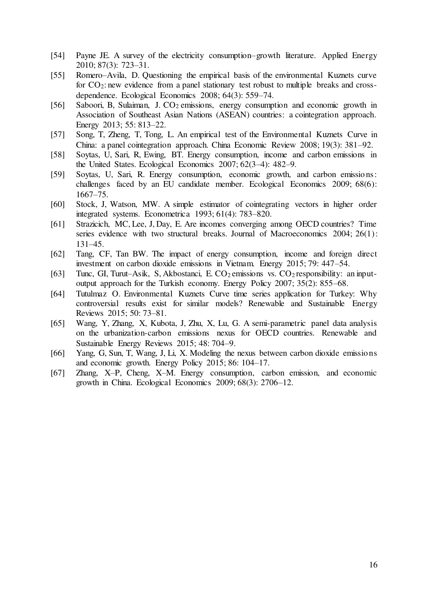- [54] Payne JE. A survey of the electricity consumption–growth literature. Applied Energy 2010; 87(3): 723–31.
- [55] Romero–Avila, D. Questioning the empirical basis of the environmental Kuznets curve for CO<sub>2</sub>: new evidence from a panel stationary test robust to multiple breaks and crossdependence. Ecological Economics 2008; 64(3): 559–74.
- [56] Saboori, B, Sulaiman, J. CO<sub>2</sub> emissions, energy consumption and economic growth in Association of Southeast Asian Nations (ASEAN) countries: a cointegration approach. Energy 2013; 55: 813–22.
- [57] Song, T, Zheng, T, Tong, L. An empirical test of the Environmental Kuznets Curve in China: a panel cointegration approach. China Economic Review 2008; 19(3): 381–92.
- [58] Soytas, U, Sari, R, Ewing, BT. Energy consumption, income and carbon emissions in the United States. Ecological Economics 2007; 62(3–4): 482–9.
- [59] Soytas, U, Sari, R. Energy consumption, economic growth, and carbon emissions: challenges faced by an EU candidate member. Ecological Economics 2009; 68(6): 1667–75.
- [60] Stock, J, Watson, MW. A simple estimator of cointegrating vectors in higher order integrated systems. Econometrica 1993; 61(4): 783–820.
- [61] Strazicich, MC, Lee, J, Day, E. Are incomes converging among OECD countries? Time series evidence with two structural breaks. Journal of Macroeconomics 2004; 26(1): 131–45.
- [62] Tang, CF, Tan BW. The impact of energy consumption, income and foreign direct investment on carbon dioxide emissions in Vietnam. Energy 2015; 79: 447–54.
- [63] Tunc, GI, Turut–Asik, S, Akbostanci, E.  $CO_2$  emissions vs.  $CO_2$  responsibility: an inputoutput approach for the Turkish economy. Energy Policy 2007; 35(2): 855–68.
- [64] Tutulmaz O. Environmental Kuznets Curve time series application for Turkey: Why controversial results exist for similar models? Renewable and Sustainable Energy Reviews 2015; 50: 73–81.
- [65] Wang, Y, Zhang, X, Kubota, J, Zhu, X, Lu, G. A semi-parametric panel data analysis on the urbanization-carbon emissions nexus for OECD countries. Renewable and Sustainable Energy Reviews 2015; 48: 704–9.
- [66] Yang, G, Sun, T, Wang, J, Li, X. Modeling the nexus between carbon dioxide emissions and economic growth. Energy Policy 2015; 86: 104–17.
- [67] Zhang, X–P, Cheng, X–M. Energy consumption, carbon emission, and economic growth in China. Ecological Economics 2009; 68(3): 2706–12.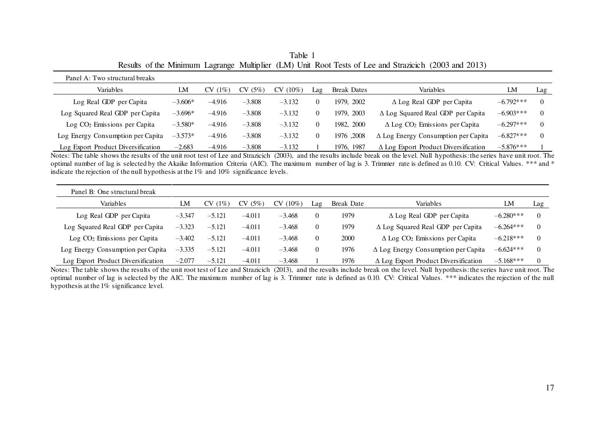| Panel A: Two structural breaks     |           |            |          |          |     |                    |                                                   |             |     |
|------------------------------------|-----------|------------|----------|----------|-----|--------------------|---------------------------------------------------|-------------|-----|
| Variables                          | LM        | (1%)<br>CV | CV(5%)   | CV(10%)  | Lag | <b>Break Dates</b> | Variables                                         | LM          | Lag |
| Log Real GDP per Capita            | $-3.606*$ | $-4.916$   | $-3.808$ | $-3.132$ |     | 1979, 2002         | $\Delta$ Log Real GDP per Capita                  | $-6.792***$ |     |
| Log Squared Real GDP per Capita    | $-3.696*$ | $-4.916$   | $-3.808$ | $-3.132$ |     | 1979. 2003         | $\Delta$ Log Squared Real GDP per Capita          | $-6.903***$ |     |
| $Log CO2 Emissions per Capita$     | $-3.580*$ | $-4.916$   | $-3.808$ | $-3.132$ |     | 1982, 2000         | $\Delta$ Log CO <sub>2</sub> Emissions per Capita | $-6.297***$ |     |
| Log Energy Consumption per Capita  | $-3.573*$ | $-4.916$   | $-3.808$ | $-3.132$ |     | 1976.2008          | $\Delta$ Log Energy Consumption per Capita        | $-6.827***$ |     |
| Log Export Product Diversification | $-2.683$  | $-4.916$   | $-3.808$ | $-3.132$ |     | 1976, 1987         | $\Delta$ Log Export Product Diversification       | $-5.876***$ |     |

Table 1 Results of the Minimum Lagrange Multiplier (LM) Unit Root Tests of Lee and Strazicich (2003 and 2013)

Notes: The table shows the results of the unit root test of Lee and Strazicich (2003), and the results include break on the level. Null hypothesis: the series have unit root. The optimal number of lag is selected by the Akaike Information Criteria (AIC). The maximum number of lag is 3. Trimmer rate is defined as 0.10. CV: Critical Values. \*\*\* and \* indicate the rejection of the null hypothesis at the 1% and 10% significance levels.

| Panel B: One structural break            |          |            |          |                  |          |            |                                                   |             |     |
|------------------------------------------|----------|------------|----------|------------------|----------|------------|---------------------------------------------------|-------------|-----|
| Variables                                | LM       | (1%)<br>CV | CV(5%)   | $(10\%)$<br>CV ( | Lag      | Break Date | Variables                                         | LM          | Lag |
| Log Real GDP per Capita                  | $-3.347$ | $-5.121$   | $-4.011$ | $-3.468$         |          | 1979       | $\Delta$ Log Real GDP per Capita                  | $-6.280***$ |     |
| Log Squared Real GDP per Capita          | $-3.323$ | $-5.121$   | $-4.011$ | $-3.468$         | $\theta$ | 1979       | $\Delta$ Log Squared Real GDP per Capita          | $-6.264***$ |     |
| Log CO <sub>2</sub> Emissions per Capita | $-3.402$ | $-5.121$   | $-4.011$ | $-3.468$         | $\theta$ | 2000       | $\Delta$ Log CO <sub>2</sub> Emissions per Capita | $-6.218***$ |     |
| Log Energy Consumption per Capita        | $-3.335$ | $-5.121$   | $-4.011$ | $-3.468$         | $\Omega$ | 1976       | $\Delta$ Log Energy Consumption per Capita        | $-6.624***$ |     |
| Log Export Product Diversification       | $-2.077$ | $-5.121$   | $-4.011$ | $-3.468$         |          | 1976       | $\Delta$ Log Export Product Diversification       | $-5.168***$ |     |

Notes: The table shows the results of the unit root test of Lee and Strazicich (2013), and the results include break on the level. Null hypothesis: the series have unit root. The optimal number of lag is selected by the AIC. The maximum number of lag is 3. Trimmer rate is defined as 0.10. CV: Critical Values. \*\*\* indicates the rejection of the null hypothesis at the 1% significance level.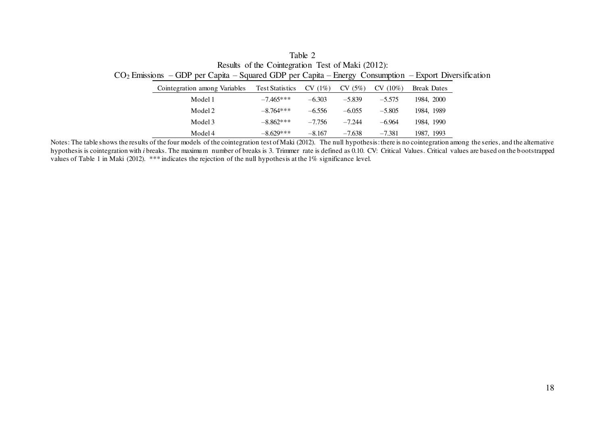| Table 2                                                                                                 |
|---------------------------------------------------------------------------------------------------------|
| Results of the Cointegration Test of Maki (2012):                                                       |
| $CO2 Emissions - GDP$ per Capita – Squared GDP per Capita – Energy Consumption – Export Diversification |

| Cointegration among Variables | <b>Test Statistics</b> | $CV(1\%)$ | (5%)     | $(10\%)$<br>CV | <b>Break Dates</b> |
|-------------------------------|------------------------|-----------|----------|----------------|--------------------|
| Model 1                       | $-7.465***$            | $-6.303$  | $-5.839$ | $-5.575$       | 1984, 2000         |
| Model 2                       | $-8.764***$            | $-6.556$  | $-6.055$ | $-5.805$       | 1984, 1989         |
| Model 3                       | $-8.862***$            | $-7.756$  | $-7.244$ | $-6.964$       | 1984, 1990         |
| Model 4                       | $-8.629***$            | $-8.167$  | $-7.638$ | $-7.381$       | 1987, 1993         |

Notes: The table shows the results of the four models of the cointegration test of Maki (2012). The null hypothesis: there is no cointegration among the series, and the alternative hypothesis is cointegration with *i* breaks. The maximum number of breaks is 3. Trimmer rate is defined as 0.10. CV: Critical Values. Critical values are based on the b ootstrapped values of Table 1 in Maki (2012). \*\*\* indicates the rejection of the null hypothesis at the 1% significance level.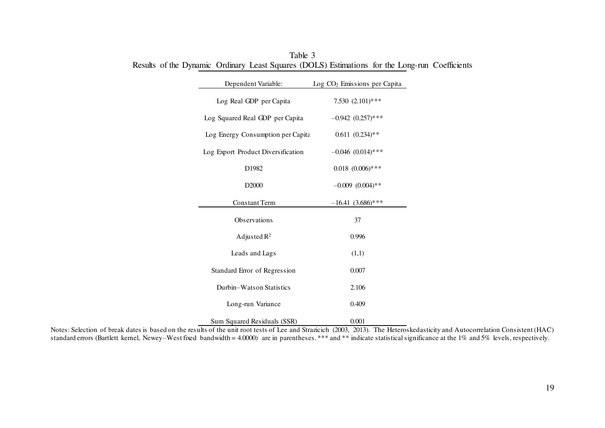| Dependent Variable:                | Log CO <sub>2</sub> Emissions per Capita |
|------------------------------------|------------------------------------------|
| Log Real GDP per Capita            | 7.530 $(2.101)$ ***                      |
| Log Squared Real GDP per Capita    | $-0.942$ $(0.257)$ ***                   |
| Log Energy Consumption per Capita  | $0.611 (0.234)$ **                       |
| Log Export Product Diversification | $-0.046$ $(0.014)$ ***                   |
| D1982                              | $0.018$ $(0.006)$ ***                    |
| D <sub>2000</sub>                  | $-0.009$ $(0.004)$ **                    |
| <b>Constant Term</b>               | $-16.41(3.686)$ ***                      |
| Observations                       | 37                                       |
| Adjusted $R^2$                     | 0.996                                    |
| Leads and Lags                     | (1,1)                                    |
| Standard Error of Regression       | 0.007                                    |
| Durbin-Watson Statistics           | 2.106                                    |
| Long-run Variance                  | 0.409                                    |
| Sum Squared Residuals (SSR)        | 0.001                                    |

Table 3 Results of the Dynamic Ordinary Least Squares (DOLS) Estimations for the Long-run Coefficients

Notes: Selection of break dates is based on the results of the unit root tests of Lee and Strazicich (2003, 2013). The Heteroskedasticity and Autocorrelation Consistent (HAC) standard errors (Bartlett kernel, Newey–West fixed bandwidth = 4.0000) are in parentheses. \*\*\* and \*\* indicate statistical significance at the 1% and 5% levels, respectively.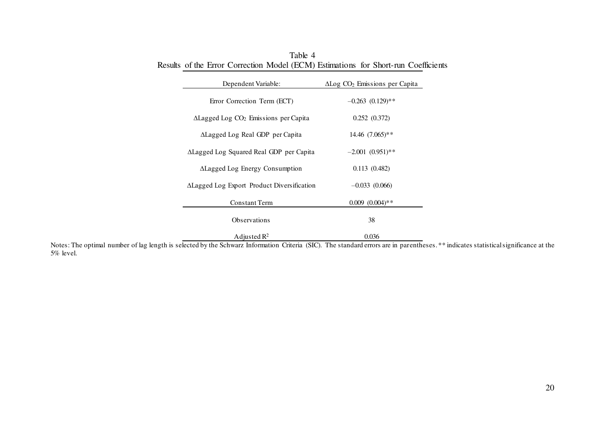| Dependent Variable:                                      | $\Delta$ Log $CO2$ Emissions per Capita |  |  |  |
|----------------------------------------------------------|-----------------------------------------|--|--|--|
| Error Correction Term (ECT)                              | $-0.263$ $(0.129)$ **                   |  |  |  |
| $\Delta$ Lagged Log CO <sub>2</sub> Emissions per Capita | 0.252(0.372)                            |  |  |  |
| ALagged Log Real GDP per Capita                          | $14.46$ $(7.065)$ **                    |  |  |  |
| ALagged Log Squared Real GDP per Capita                  | $-2.001(0.951)$ **                      |  |  |  |
| ALagged Log Energy Consumption                           | 0.113(0.482)                            |  |  |  |
| ALagged Log Export Product Diversification               | $-0.033(0.066)$                         |  |  |  |
| <b>Constant Term</b>                                     | $0.009$ $(0.004)$ **                    |  |  |  |
| Observations                                             | 38                                      |  |  |  |
| Adjusted $\mathbb{R}^2$                                  | 0.036                                   |  |  |  |

Table 4 Results of the Error Correction Model (ECM) Estimations for Short-run Coefficients

Notes: The optimal number of lag length is selected by the Schwarz Information Criteria (SIC). The standard errors are in parentheses. \*\* indicates statistical significance at the 5% level.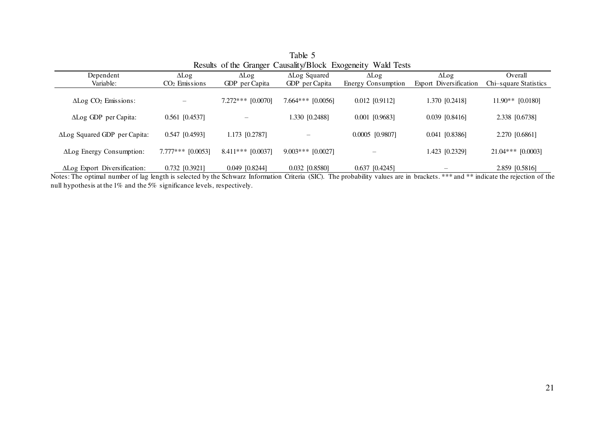| Table 5                                                      |                     |                     |                      |                    |                        |                       |  |  |  |
|--------------------------------------------------------------|---------------------|---------------------|----------------------|--------------------|------------------------|-----------------------|--|--|--|
| Results of the Granger Causality/Block Exogeneity Wald Tests |                     |                     |                      |                    |                        |                       |  |  |  |
| Dependent                                                    | $\Delta$ Log        | $\Delta$ Log        | <b>ALog Squared</b>  | $\Delta$ Log       | $\Delta$ Log           | Overall               |  |  |  |
| Variable:                                                    | $CO2$ Emissions     | GDP per Capita      | GDP per Capita       | Energy Consumption | Export Diversification | Chi-square Statistics |  |  |  |
| $\Delta$ Log $CO2$ Emissions:                                |                     | $7.272***$ [0.0070] | $7.664***$ [0.0056]  | $0.012$ [0.9112]   | 1.370 [0.2418]         | $11.90**$ [0.0180]    |  |  |  |
| ALog GDP per Capita:                                         | $0.561$ [0.4537]    |                     | 1.330 [0.2488]       | $0.001$ [0.9683]   | $0.039$ [0.8416]       | 2.338 [0.6738]        |  |  |  |
| ΔLog Squared GDP per Capita:                                 | $0.547$ [0.4593]    | 1.173 [0.2787]      |                      | $0.0005$ [0.9807]  | $0.041$ [0.8386]       | 2.270 [0.6861]        |  |  |  |
| ALog Energy Consumption:                                     | $7.777***$ [0.0053] | $8.411***$ [0.0037] | $9.003$ *** [0.0027] |                    | 1.423 [0.2329]         | $21.04***$ [0.0003]   |  |  |  |
| ALog Export Diversification:                                 | $0.732$ [0.3921]    | $0.049$ $[0.8244]$  | 0.032 [0.8580]       | $0.637$ [0.4245]   |                        | 2.859 [0.5816]        |  |  |  |

Notes: The optimal number of lag length is selected by the Schwarz Information Criteria (SIC). The probability values are in brackets. \*\*\* and \*\* indicate the rejection of the null hypothesis at the 1% and the 5% significance levels, respectively.